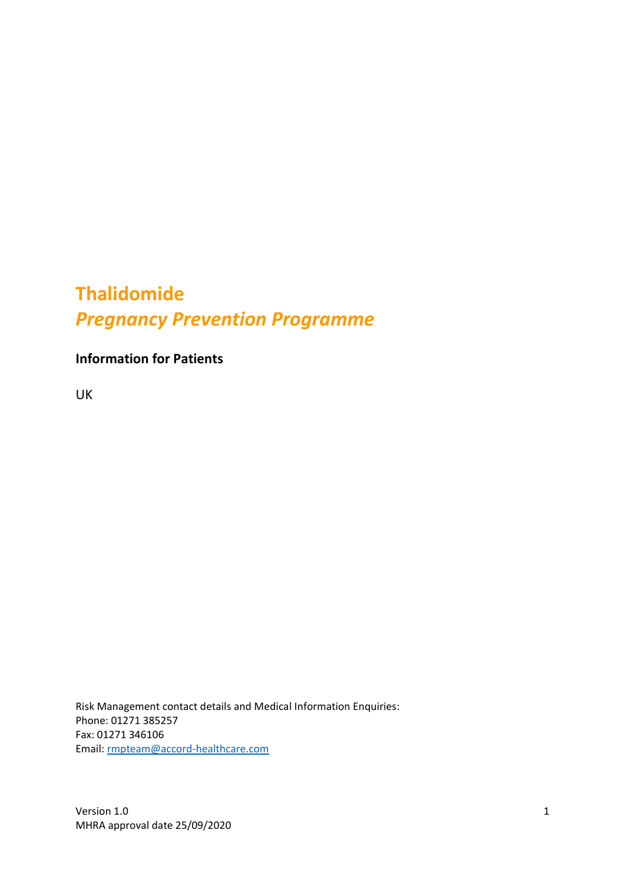# **Thalidomide**  *Pregnancy Prevention Programme*

**Information for Patients**

UK

Risk Management contact details and Medical Information Enquiries: Phone: 01271 385257 Fax: 01271 346106 Email: [rmpteam@accord-healthcare.com](mailto:rmpteam@accord-healthcare.com)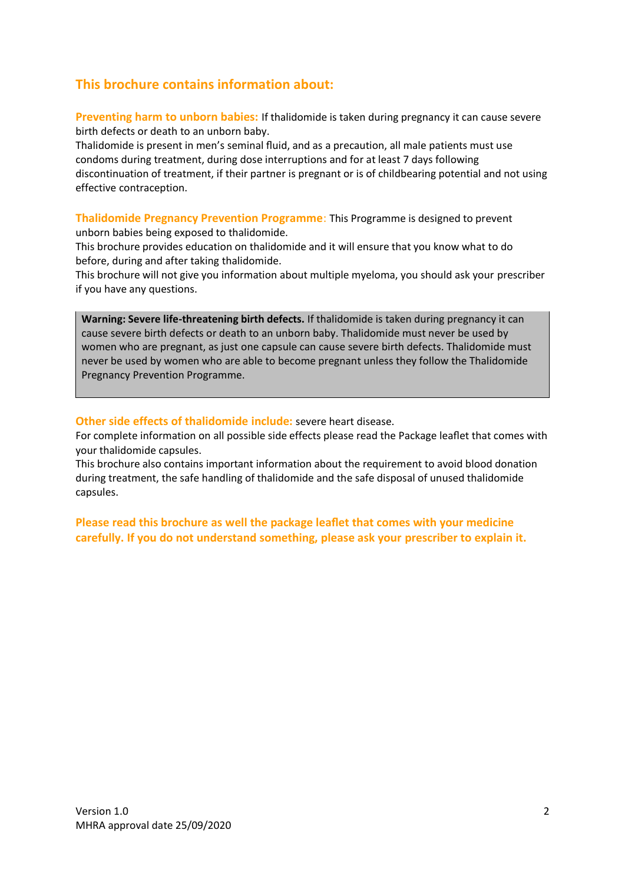#### **This brochure contains information about:**

**Preventing harm to unborn babies:** If thalidomide is taken during pregnancy it can cause severe birth defects or death to an unborn baby.

Thalidomide is present in men's seminal fluid, and as a precaution, all male patients must use condoms during treatment, during dose interruptions and for at least 7 days following discontinuation of treatment, if their partner is pregnant or is of childbearing potential and not using effective contraception.

**Thalidomide Pregnancy Prevention Programme**: This Programme is designed to prevent unborn babies being exposed to thalidomide.

This brochure provides education on thalidomide and it will ensure that you know what to do before, during and after taking thalidomide.

This brochure will not give you information about multiple myeloma, you should ask your prescriber if you have any questions.

**Warning: Severe life-threatening birth defects.** If thalidomide is taken during pregnancy it can cause severe birth defects or death to an unborn baby. Thalidomide must never be used by women who are pregnant, as just one capsule can cause severe birth defects. Thalidomide must never be used by women who are able to become pregnant unless they follow the Thalidomide Pregnancy Prevention Programme.

**Other side effects of thalidomide include:** severe heart disease.

For complete information on all possible side effects please read the Package leaflet that comes with your thalidomide capsules.

This brochure also contains important information about the requirement to avoid blood donation during treatment, the safe handling of thalidomide and the safe disposal of unused thalidomide capsules.

**Please read this brochure as well the package leaflet that comes with your medicine carefully. If you do not understand something, please ask your prescriber to explain it.**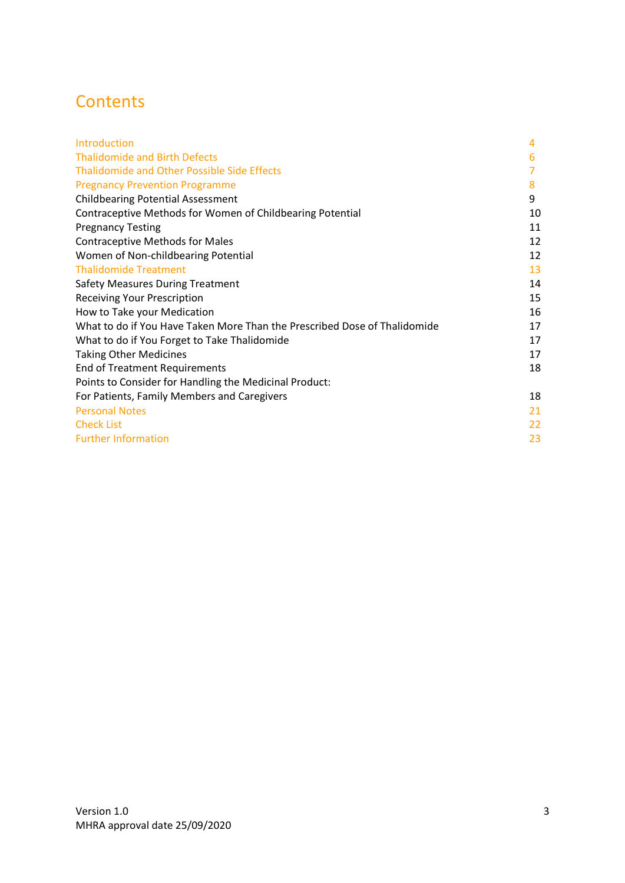# **Contents**

| Introduction                                                              | 4  |
|---------------------------------------------------------------------------|----|
| <b>Thalidomide and Birth Defects</b>                                      | 6  |
| <b>Thalidomide and Other Possible Side Effects</b>                        |    |
| <b>Pregnancy Prevention Programme</b>                                     | 8  |
| <b>Childbearing Potential Assessment</b>                                  | 9  |
| Contraceptive Methods for Women of Childbearing Potential                 | 10 |
| <b>Pregnancy Testing</b>                                                  | 11 |
| <b>Contraceptive Methods for Males</b>                                    | 12 |
| Women of Non-childbearing Potential                                       | 12 |
| <b>Thalidomide Treatment</b>                                              | 13 |
| <b>Safety Measures During Treatment</b>                                   | 14 |
| <b>Receiving Your Prescription</b>                                        | 15 |
| How to Take your Medication                                               | 16 |
| What to do if You Have Taken More Than the Prescribed Dose of Thalidomide | 17 |
| What to do if You Forget to Take Thalidomide                              | 17 |
| <b>Taking Other Medicines</b>                                             | 17 |
| <b>End of Treatment Requirements</b>                                      | 18 |
| Points to Consider for Handling the Medicinal Product:                    |    |
| For Patients, Family Members and Caregivers                               | 18 |
| <b>Personal Notes</b>                                                     | 21 |
| <b>Check List</b>                                                         | 22 |
| <b>Further Information</b>                                                | 23 |
|                                                                           |    |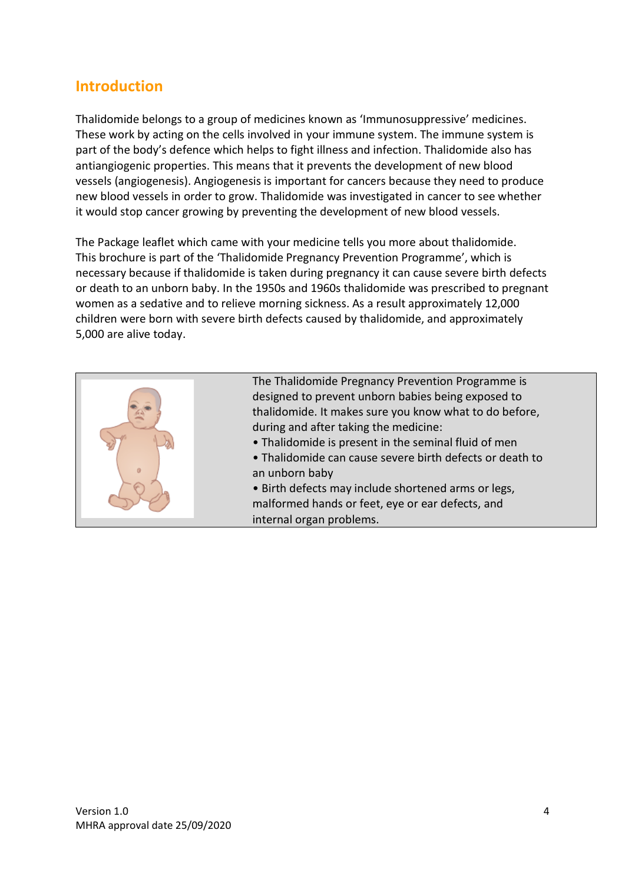### **Introduction**

Thalidomide belongs to a group of medicines known as 'Immunosuppressive' medicines. These work by acting on the cells involved in your immune system. The immune system is part of the body's defence which helps to fight illness and infection. Thalidomide also has antiangiogenic properties. This means that it prevents the development of new blood vessels (angiogenesis). Angiogenesis is important for cancers because they need to produce new blood vessels in order to grow. Thalidomide was investigated in cancer to see whether it would stop cancer growing by preventing the development of new blood vessels.

The Package leaflet which came with your medicine tells you more about thalidomide. This brochure is part of the 'Thalidomide Pregnancy Prevention Programme', which is necessary because if thalidomide is taken during pregnancy it can cause severe birth defects or death to an unborn baby. In the 1950s and 1960s thalidomide was prescribed to pregnant women as a sedative and to relieve morning sickness. As a result approximately 12,000 children were born with severe birth defects caused by thalidomide, and approximately 5,000 are alive today.

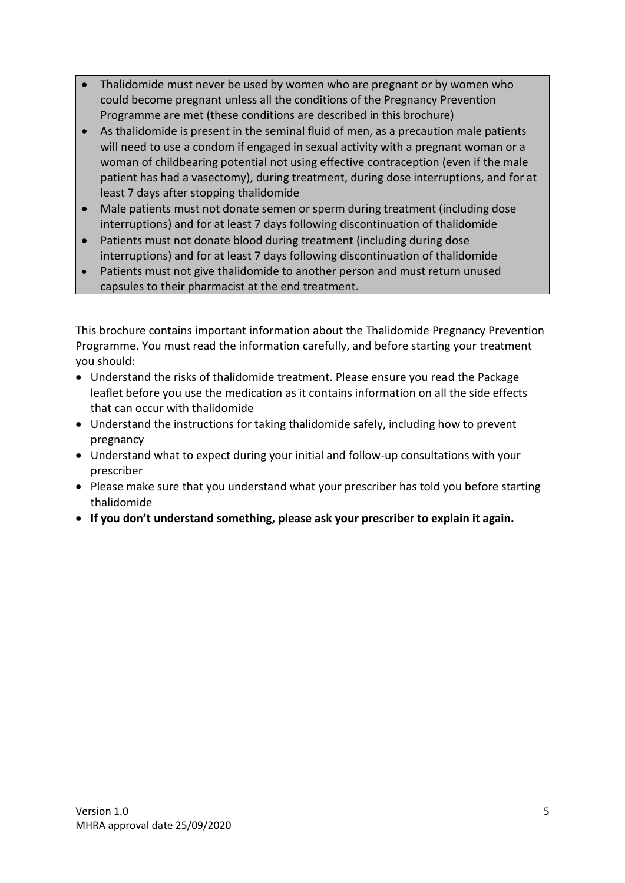- Thalidomide must never be used by women who are pregnant or by women who could become pregnant unless all the conditions of the Pregnancy Prevention Programme are met (these conditions are described in this brochure)
- As thalidomide is present in the seminal fluid of men, as a precaution male patients will need to use a condom if engaged in sexual activity with a pregnant woman or a woman of childbearing potential not using effective contraception (even if the male patient has had a vasectomy), during treatment, during dose interruptions, and for at least 7 days after stopping thalidomide
- Male patients must not donate semen or sperm during treatment (including dose interruptions) and for at least 7 days following discontinuation of thalidomide
- Patients must not donate blood during treatment (including during dose interruptions) and for at least 7 days following discontinuation of thalidomide
- Patients must not give thalidomide to another person and must return unused capsules to their pharmacist at the end treatment.

This brochure contains important information about the Thalidomide Pregnancy Prevention Programme. You must read the information carefully, and before starting your treatment you should:

- Understand the risks of thalidomide treatment. Please ensure you read the Package leaflet before you use the medication as it contains information on all the side effects that can occur with thalidomide
- Understand the instructions for taking thalidomide safely, including how to prevent pregnancy
- Understand what to expect during your initial and follow-up consultations with your prescriber
- Please make sure that you understand what your prescriber has told you before starting thalidomide
- **If you don't understand something, please ask your prescriber to explain it again.**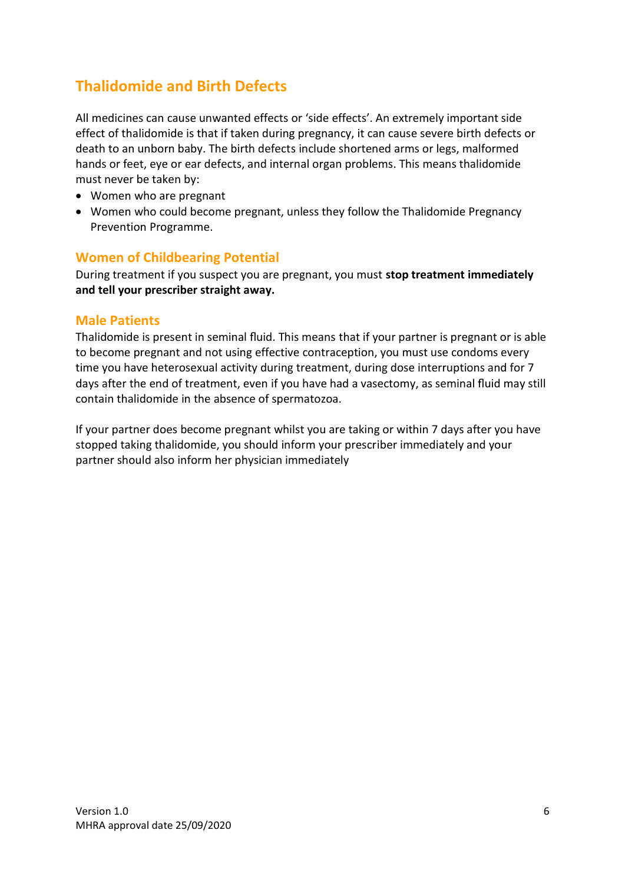# **Thalidomide and Birth Defects**

All medicines can cause unwanted effects or 'side effects'. An extremely important side effect of thalidomide is that if taken during pregnancy, it can cause severe birth defects or death to an unborn baby. The birth defects include shortened arms or legs, malformed hands or feet, eye or ear defects, and internal organ problems. This means thalidomide must never be taken by:

- Women who are pregnant
- Women who could become pregnant, unless they follow the Thalidomide Pregnancy Prevention Programme.

#### **Women of Childbearing Potential**

During treatment if you suspect you are pregnant, you must **stop treatment immediately and tell your prescriber straight away.** 

#### **Male Patients**

Thalidomide is present in seminal fluid. This means that if your partner is pregnant or is able to become pregnant and not using effective contraception, you must use condoms every time you have heterosexual activity during treatment, during dose interruptions and for 7 days after the end of treatment, even if you have had a vasectomy, as seminal fluid may still contain thalidomide in the absence of spermatozoa.

If your partner does become pregnant whilst you are taking or within 7 days after you have stopped taking thalidomide, you should inform your prescriber immediately and your partner should also inform her physician immediately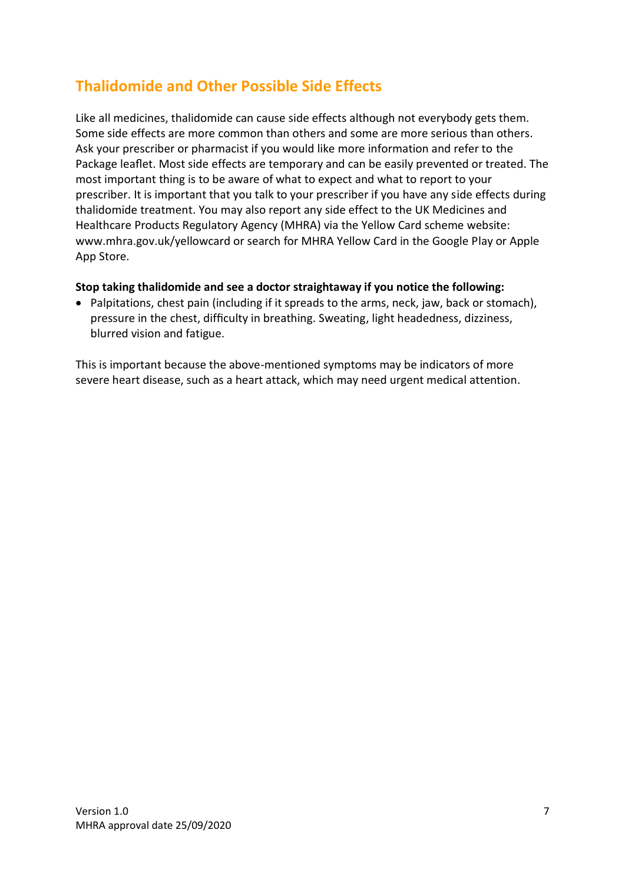# **Thalidomide and Other Possible Side Effects**

Like all medicines, thalidomide can cause side effects although not everybody gets them. Some side effects are more common than others and some are more serious than others. Ask your prescriber or pharmacist if you would like more information and refer to the Package leaflet. Most side effects are temporary and can be easily prevented or treated. The most important thing is to be aware of what to expect and what to report to your prescriber. It is important that you talk to your prescriber if you have any side effects during thalidomide treatment. You may also report any side effect to the UK Medicines and Healthcare Products Regulatory Agency (MHRA) via the Yellow Card scheme website: www.mhra.gov.uk/yellowcard or search for MHRA Yellow Card in the Google Play or Apple App Store.

#### **Stop taking thalidomide and see a doctor straightaway if you notice the following:**

• Palpitations, chest pain (including if it spreads to the arms, neck, jaw, back or stomach), pressure in the chest, difficulty in breathing. Sweating, light headedness, dizziness, blurred vision and fatigue.

This is important because the above-mentioned symptoms may be indicators of more severe heart disease, such as a heart attack, which may need urgent medical attention.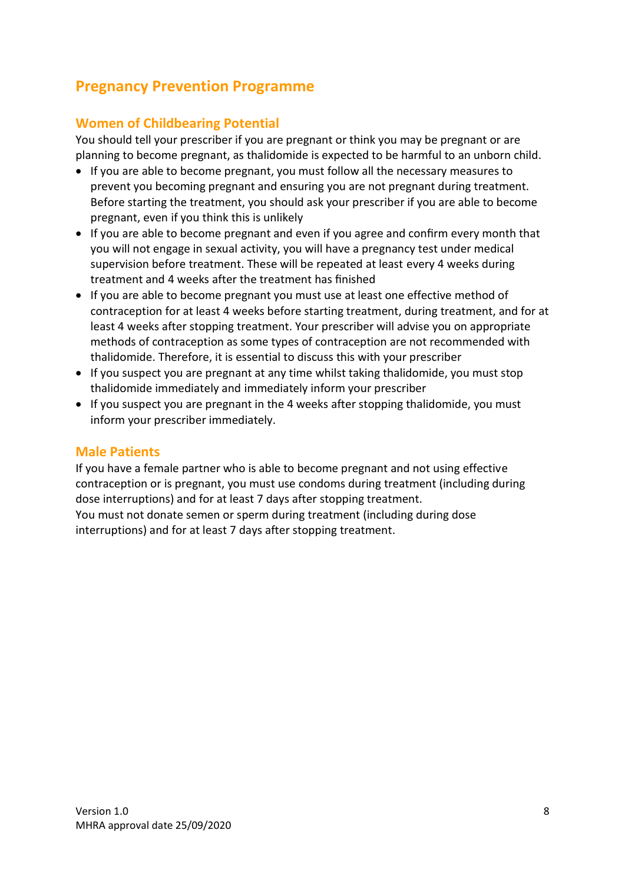# **Pregnancy Prevention Programme**

#### **Women of Childbearing Potential**

You should tell your prescriber if you are pregnant or think you may be pregnant or are planning to become pregnant, as thalidomide is expected to be harmful to an unborn child.

- If you are able to become pregnant, you must follow all the necessary measures to prevent you becoming pregnant and ensuring you are not pregnant during treatment. Before starting the treatment, you should ask your prescriber if you are able to become pregnant, even if you think this is unlikely
- If you are able to become pregnant and even if you agree and confirm every month that you will not engage in sexual activity, you will have a pregnancy test under medical supervision before treatment. These will be repeated at least every 4 weeks during treatment and 4 weeks after the treatment has finished
- If you are able to become pregnant you must use at least one effective method of contraception for at least 4 weeks before starting treatment, during treatment, and for at least 4 weeks after stopping treatment. Your prescriber will advise you on appropriate methods of contraception as some types of contraception are not recommended with thalidomide. Therefore, it is essential to discuss this with your prescriber
- If you suspect you are pregnant at any time whilst taking thalidomide, you must stop thalidomide immediately and immediately inform your prescriber
- If you suspect you are pregnant in the 4 weeks after stopping thalidomide, you must inform your prescriber immediately.

#### **Male Patients**

If you have a female partner who is able to become pregnant and not using effective contraception or is pregnant, you must use condoms during treatment (including during dose interruptions) and for at least 7 days after stopping treatment. You must not donate semen or sperm during treatment (including during dose interruptions) and for at least 7 days after stopping treatment.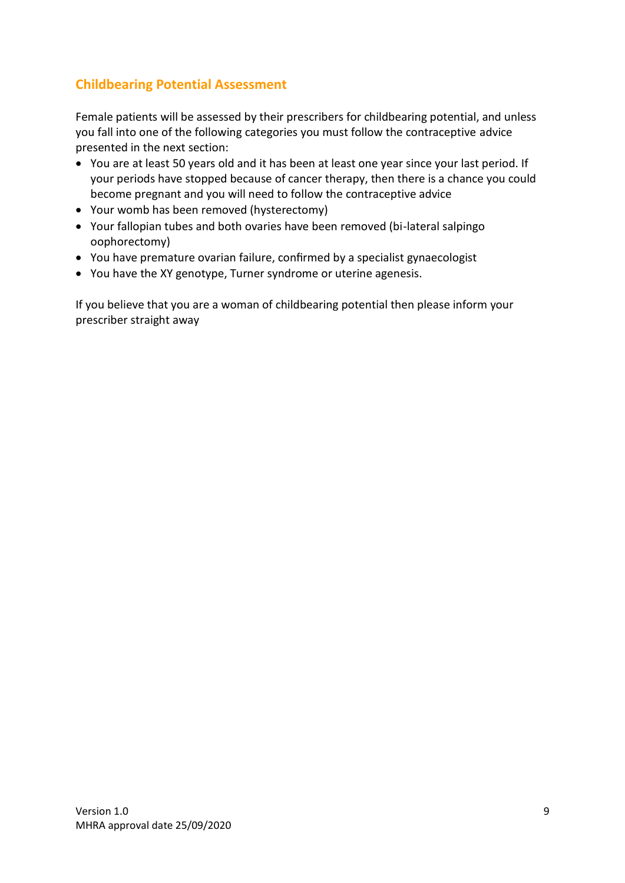### **Childbearing Potential Assessment**

Female patients will be assessed by their prescribers for childbearing potential, and unless you fall into one of the following categories you must follow the contraceptive advice presented in the next section:

- You are at least 50 years old and it has been at least one year since your last period. If your periods have stopped because of cancer therapy, then there is a chance you could become pregnant and you will need to follow the contraceptive advice
- Your womb has been removed (hysterectomy)
- Your fallopian tubes and both ovaries have been removed (bi-lateral salpingo oophorectomy)
- You have premature ovarian failure, confirmed by a specialist gynaecologist
- You have the XY genotype, Turner syndrome or uterine agenesis.

If you believe that you are a woman of childbearing potential then please inform your prescriber straight away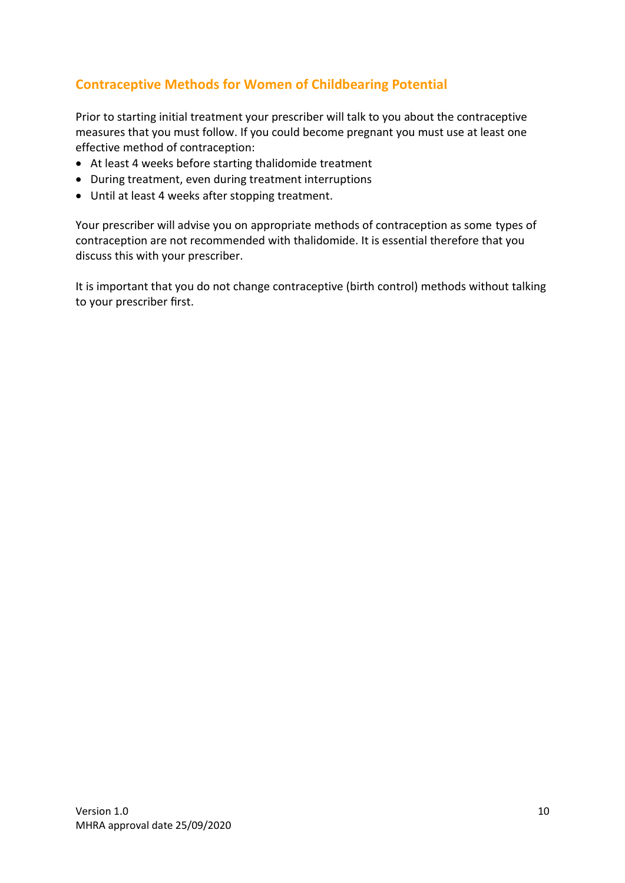### **Contraceptive Methods for Women of Childbearing Potential**

Prior to starting initial treatment your prescriber will talk to you about the contraceptive measures that you must follow. If you could become pregnant you must use at least one effective method of contraception:

- At least 4 weeks before starting thalidomide treatment
- During treatment, even during treatment interruptions
- Until at least 4 weeks after stopping treatment.

Your prescriber will advise you on appropriate methods of contraception as some types of contraception are not recommended with thalidomide. It is essential therefore that you discuss this with your prescriber.

It is important that you do not change contraceptive (birth control) methods without talking to your prescriber first.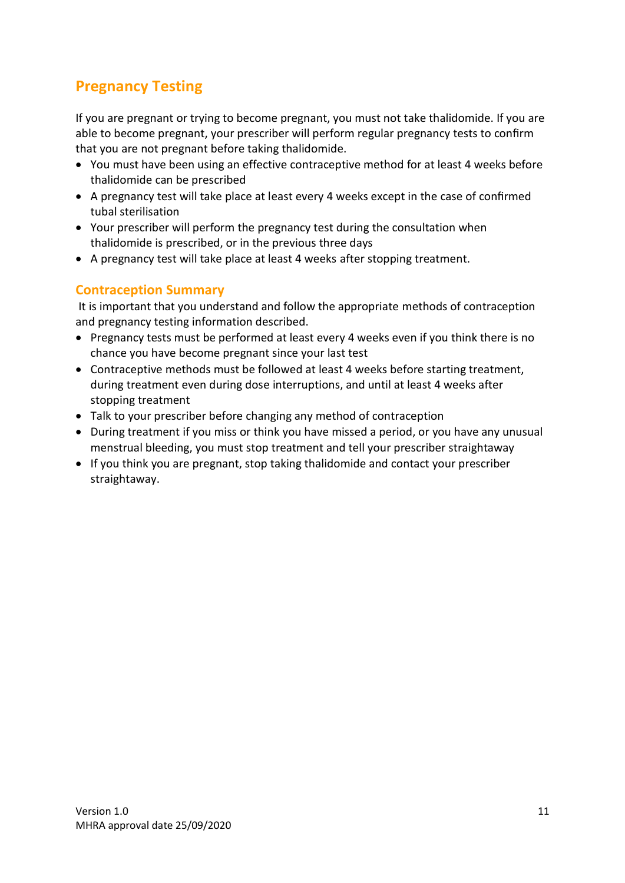# **Pregnancy Testing**

If you are pregnant or trying to become pregnant, you must not take thalidomide. If you are able to become pregnant, your prescriber will perform regular pregnancy tests to confirm that you are not pregnant before taking thalidomide.

- You must have been using an effective contraceptive method for at least 4 weeks before thalidomide can be prescribed
- A pregnancy test will take place at least every 4 weeks except in the case of confirmed tubal sterilisation
- Your prescriber will perform the pregnancy test during the consultation when thalidomide is prescribed, or in the previous three days
- A pregnancy test will take place at least 4 weeks after stopping treatment.

#### **Contraception Summary**

It is important that you understand and follow the appropriate methods of contraception and pregnancy testing information described.

- Pregnancy tests must be performed at least every 4 weeks even if you think there is no chance you have become pregnant since your last test
- Contraceptive methods must be followed at least 4 weeks before starting treatment, during treatment even during dose interruptions, and until at least 4 weeks after stopping treatment
- Talk to your prescriber before changing any method of contraception
- During treatment if you miss or think you have missed a period, or you have any unusual menstrual bleeding, you must stop treatment and tell your prescriber straightaway
- If you think you are pregnant, stop taking thalidomide and contact your prescriber straightaway.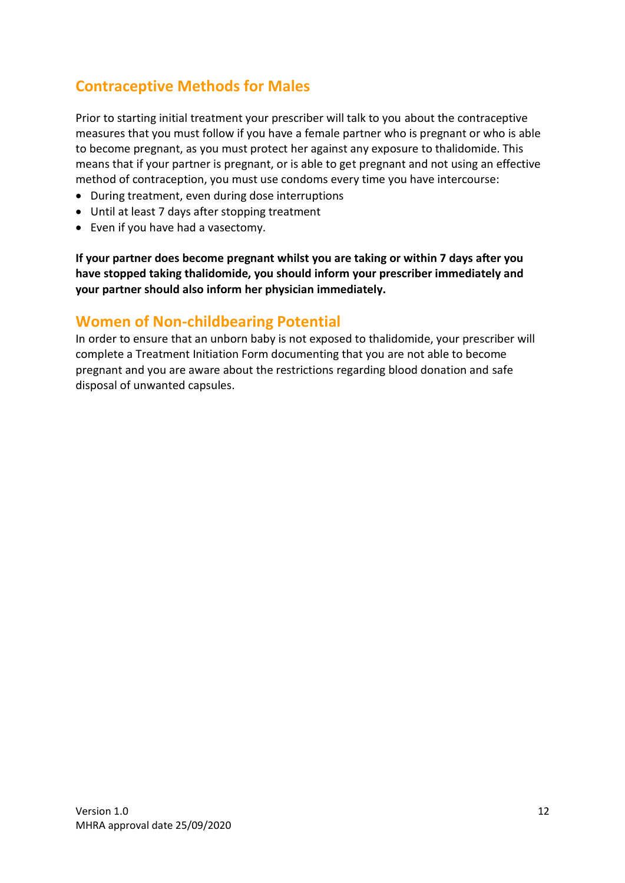# **Contraceptive Methods for Males**

Prior to starting initial treatment your prescriber will talk to you about the contraceptive measures that you must follow if you have a female partner who is pregnant or who is able to become pregnant, as you must protect her against any exposure to thalidomide. This means that if your partner is pregnant, or is able to get pregnant and not using an effective method of contraception, you must use condoms every time you have intercourse:

- During treatment, even during dose interruptions
- Until at least 7 days after stopping treatment
- Even if you have had a vasectomy.

**If your partner does become pregnant whilst you are taking or within 7 days after you have stopped taking thalidomide, you should inform your prescriber immediately and your partner should also inform her physician immediately.**

#### **Women of Non-childbearing Potential**

In order to ensure that an unborn baby is not exposed to thalidomide, your prescriber will complete a Treatment Initiation Form documenting that you are not able to become pregnant and you are aware about the restrictions regarding blood donation and safe disposal of unwanted capsules.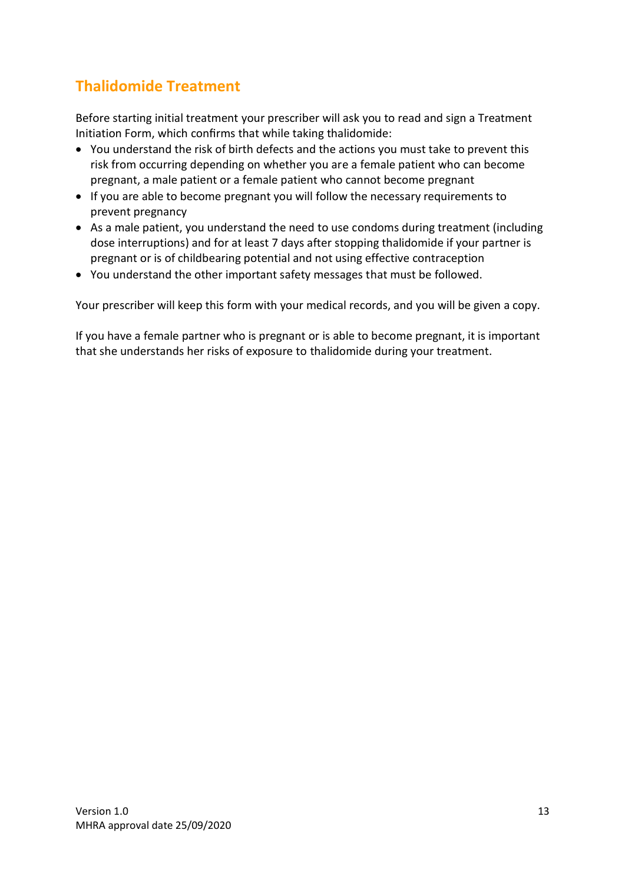# **Thalidomide Treatment**

Before starting initial treatment your prescriber will ask you to read and sign a Treatment Initiation Form, which confirms that while taking thalidomide:

- You understand the risk of birth defects and the actions you must take to prevent this risk from occurring depending on whether you are a female patient who can become pregnant, a male patient or a female patient who cannot become pregnant
- If you are able to become pregnant you will follow the necessary requirements to prevent pregnancy
- As a male patient, you understand the need to use condoms during treatment (including dose interruptions) and for at least 7 days after stopping thalidomide if your partner is pregnant or is of childbearing potential and not using effective contraception
- You understand the other important safety messages that must be followed.

Your prescriber will keep this form with your medical records, and you will be given a copy.

If you have a female partner who is pregnant or is able to become pregnant, it is important that she understands her risks of exposure to thalidomide during your treatment.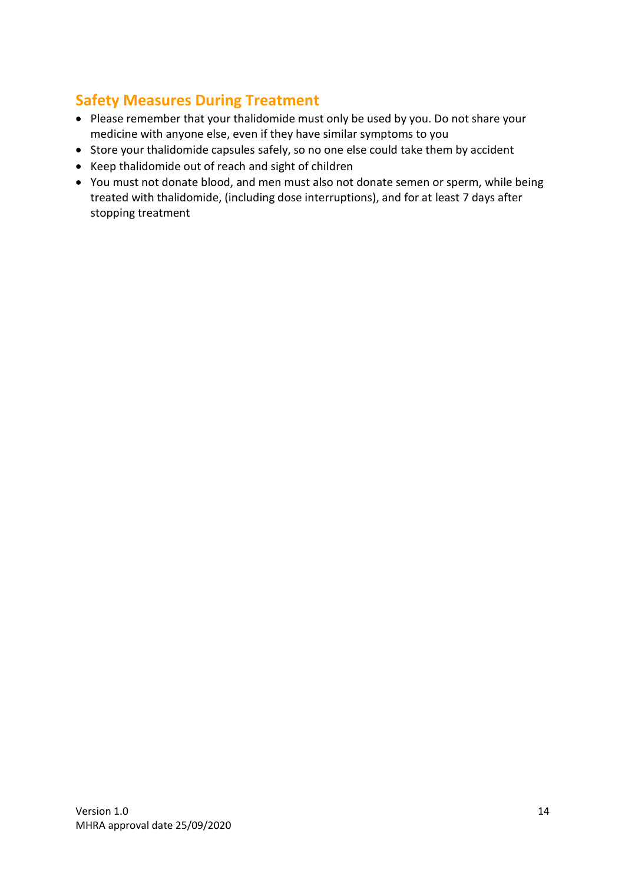# **Safety Measures During Treatment**

- Please remember that your thalidomide must only be used by you. Do not share your medicine with anyone else, even if they have similar symptoms to you
- Store your thalidomide capsules safely, so no one else could take them by accident
- Keep thalidomide out of reach and sight of children
- You must not donate blood, and men must also not donate semen or sperm, while being treated with thalidomide, (including dose interruptions), and for at least 7 days after stopping treatment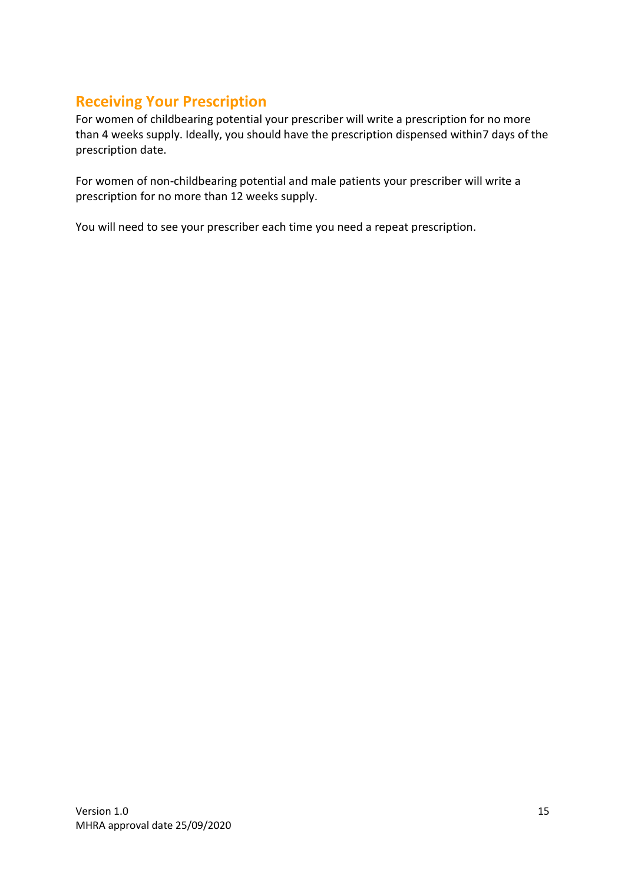# **Receiving Your Prescription**

For women of childbearing potential your prescriber will write a prescription for no more than 4 weeks supply. Ideally, you should have the prescription dispensed within7 days of the prescription date.

For women of non-childbearing potential and male patients your prescriber will write a prescription for no more than 12 weeks supply.

You will need to see your prescriber each time you need a repeat prescription.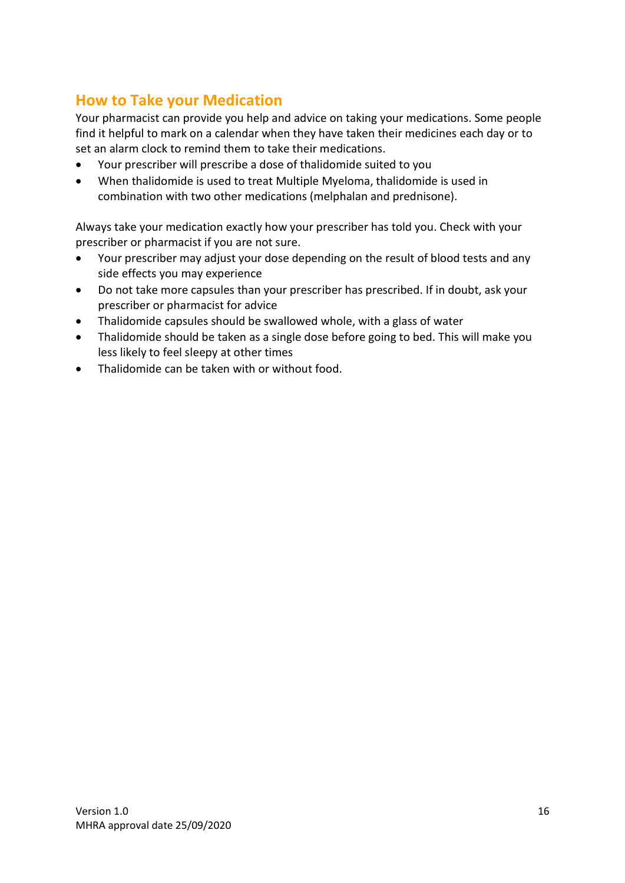# **How to Take your Medication**

Your pharmacist can provide you help and advice on taking your medications. Some people find it helpful to mark on a calendar when they have taken their medicines each day or to set an alarm clock to remind them to take their medications.

- Your prescriber will prescribe a dose of thalidomide suited to you
- When thalidomide is used to treat Multiple Myeloma, thalidomide is used in combination with two other medications (melphalan and prednisone).

Always take your medication exactly how your prescriber has told you. Check with your prescriber or pharmacist if you are not sure.

- Your prescriber may adjust your dose depending on the result of blood tests and any side effects you may experience
- Do not take more capsules than your prescriber has prescribed. If in doubt, ask your prescriber or pharmacist for advice
- Thalidomide capsules should be swallowed whole, with a glass of water
- Thalidomide should be taken as a single dose before going to bed. This will make you less likely to feel sleepy at other times
- Thalidomide can be taken with or without food.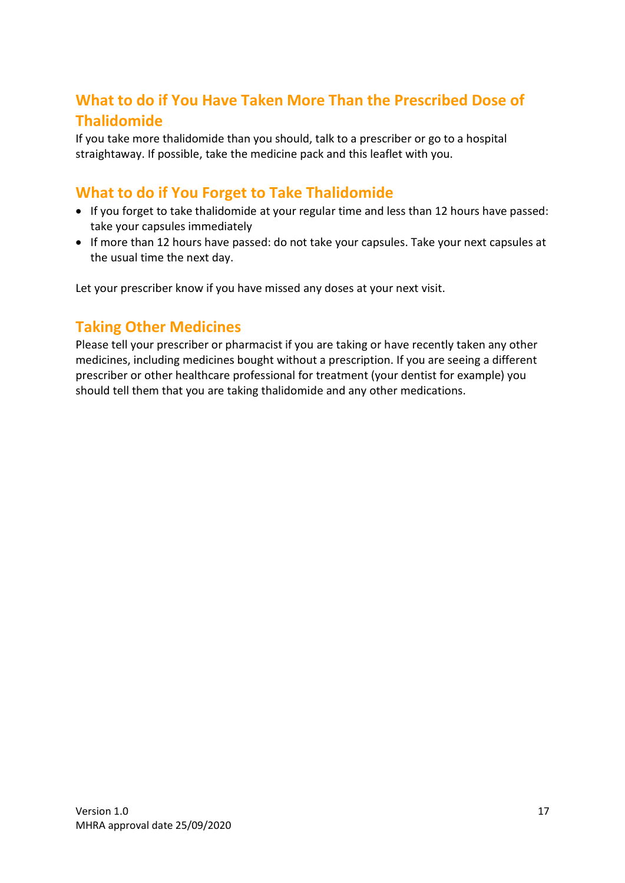# **What to do if You Have Taken More Than the Prescribed Dose of Thalidomide**

If you take more thalidomide than you should, talk to a prescriber or go to a hospital straightaway. If possible, take the medicine pack and this leaflet with you.

### **What to do if You Forget to Take Thalidomide**

- If you forget to take thalidomide at your regular time and less than 12 hours have passed: take your capsules immediately
- If more than 12 hours have passed: do not take your capsules. Take your next capsules at the usual time the next day.

Let your prescriber know if you have missed any doses at your next visit.

### **Taking Other Medicines**

Please tell your prescriber or pharmacist if you are taking or have recently taken any other medicines, including medicines bought without a prescription. If you are seeing a different prescriber or other healthcare professional for treatment (your dentist for example) you should tell them that you are taking thalidomide and any other medications.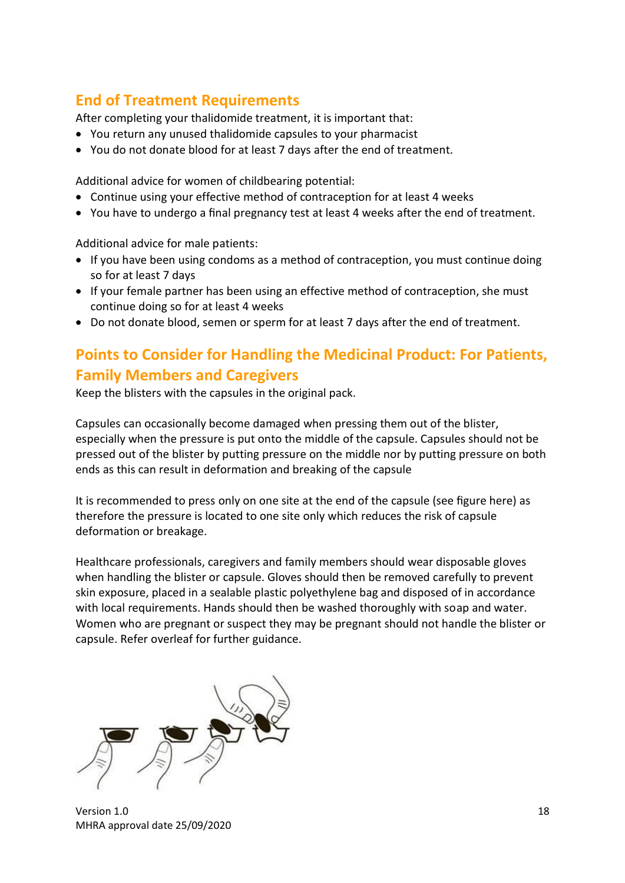# **End of Treatment Requirements**

After completing your thalidomide treatment, it is important that:

- You return any unused thalidomide capsules to your pharmacist
- You do not donate blood for at least 7 days after the end of treatment.

Additional advice for women of childbearing potential:

- Continue using your effective method of contraception for at least 4 weeks
- You have to undergo a final pregnancy test at least 4 weeks after the end of treatment.

Additional advice for male patients:

- If you have been using condoms as a method of contraception, you must continue doing so for at least 7 days
- If your female partner has been using an effective method of contraception, she must continue doing so for at least 4 weeks
- Do not donate blood, semen or sperm for at least 7 days after the end of treatment.

# **Points to Consider for Handling the Medicinal Product: For Patients, Family Members and Caregivers**

Keep the blisters with the capsules in the original pack.

Capsules can occasionally become damaged when pressing them out of the blister, especially when the pressure is put onto the middle of the capsule. Capsules should not be pressed out of the blister by putting pressure on the middle nor by putting pressure on both ends as this can result in deformation and breaking of the capsule

It is recommended to press only on one site at the end of the capsule (see figure here) as therefore the pressure is located to one site only which reduces the risk of capsule deformation or breakage.

Healthcare professionals, caregivers and family members should wear disposable gloves when handling the blister or capsule. Gloves should then be removed carefully to prevent skin exposure, placed in a sealable plastic polyethylene bag and disposed of in accordance with local requirements. Hands should then be washed thoroughly with soap and water. Women who are pregnant or suspect they may be pregnant should not handle the blister or capsule. Refer overleaf for further guidance.

version 1.0 18 MHRA approval date 25/09/2020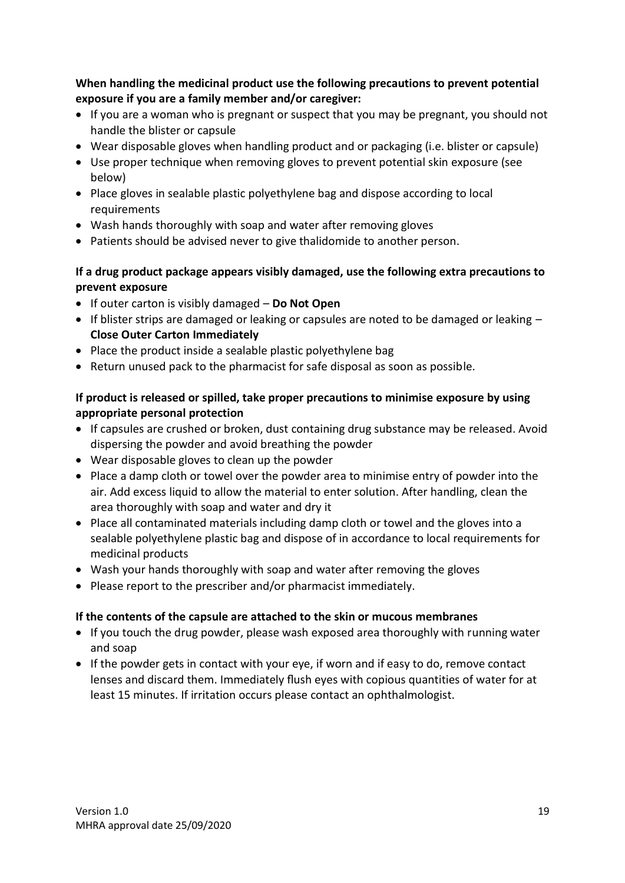**When handling the medicinal product use the following precautions to prevent potential exposure if you are a family member and/or caregiver:**

- If you are a woman who is pregnant or suspect that you may be pregnant, you should not handle the blister or capsule
- Wear disposable gloves when handling product and or packaging (i.e. blister or capsule)
- Use proper technique when removing gloves to prevent potential skin exposure (see below)
- Place gloves in sealable plastic polyethylene bag and dispose according to local requirements
- Wash hands thoroughly with soap and water after removing gloves
- Patients should be advised never to give thalidomide to another person.

#### **If a drug product package appears visibly damaged, use the following extra precautions to prevent exposure**

- If outer carton is visibly damaged **Do Not Open**
- If blister strips are damaged or leaking or capsules are noted to be damaged or leaking **Close Outer Carton Immediately**
- Place the product inside a sealable plastic polyethylene bag
- Return unused pack to the pharmacist for safe disposal as soon as possible.

#### **If product is released or spilled, take proper precautions to minimise exposure by using appropriate personal protection**

- If capsules are crushed or broken, dust containing drug substance may be released. Avoid dispersing the powder and avoid breathing the powder
- Wear disposable gloves to clean up the powder
- Place a damp cloth or towel over the powder area to minimise entry of powder into the air. Add excess liquid to allow the material to enter solution. After handling, clean the area thoroughly with soap and water and dry it
- Place all contaminated materials including damp cloth or towel and the gloves into a sealable polyethylene plastic bag and dispose of in accordance to local requirements for medicinal products
- Wash your hands thoroughly with soap and water after removing the gloves
- Please report to the prescriber and/or pharmacist immediately.

#### **If the contents of the capsule are attached to the skin or mucous membranes**

- If you touch the drug powder, please wash exposed area thoroughly with running water and soap
- If the powder gets in contact with your eye, if worn and if easy to do, remove contact lenses and discard them. Immediately flush eyes with copious quantities of water for at least 15 minutes. If irritation occurs please contact an ophthalmologist.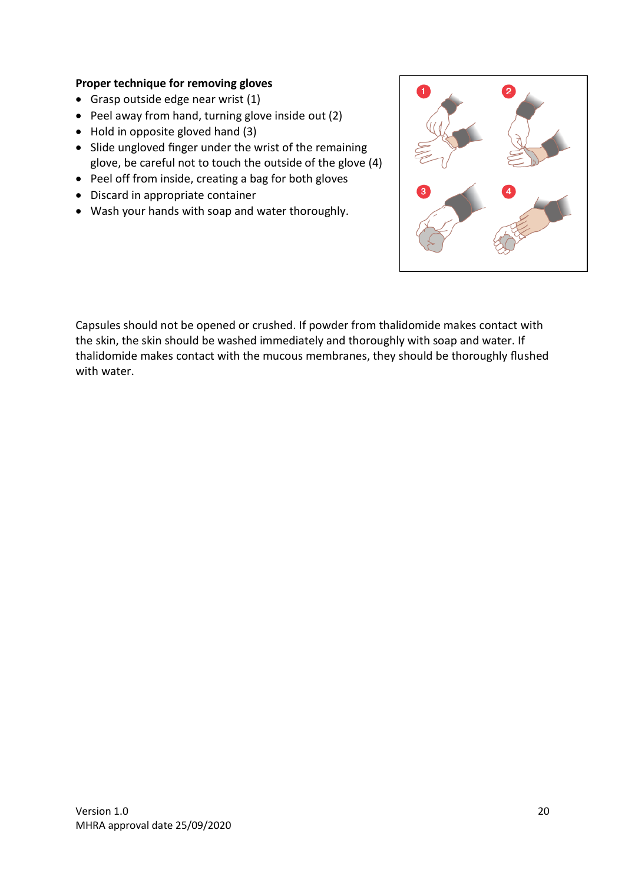#### **Proper technique for removing gloves**

- Grasp outside edge near wrist (1)
- Peel away from hand, turning glove inside out (2)
- Hold in opposite gloved hand (3)
- Slide ungloved finger under the wrist of the remaining glove, be careful not to touch the outside of the glove (4)
- Peel off from inside, creating a bag for both gloves
- Discard in appropriate container
- Wash your hands with soap and water thoroughly.



Capsules should not be opened or crushed. If powder from thalidomide makes contact with the skin, the skin should be washed immediately and thoroughly with soap and water. If thalidomide makes contact with the mucous membranes, they should be thoroughly flushed with water.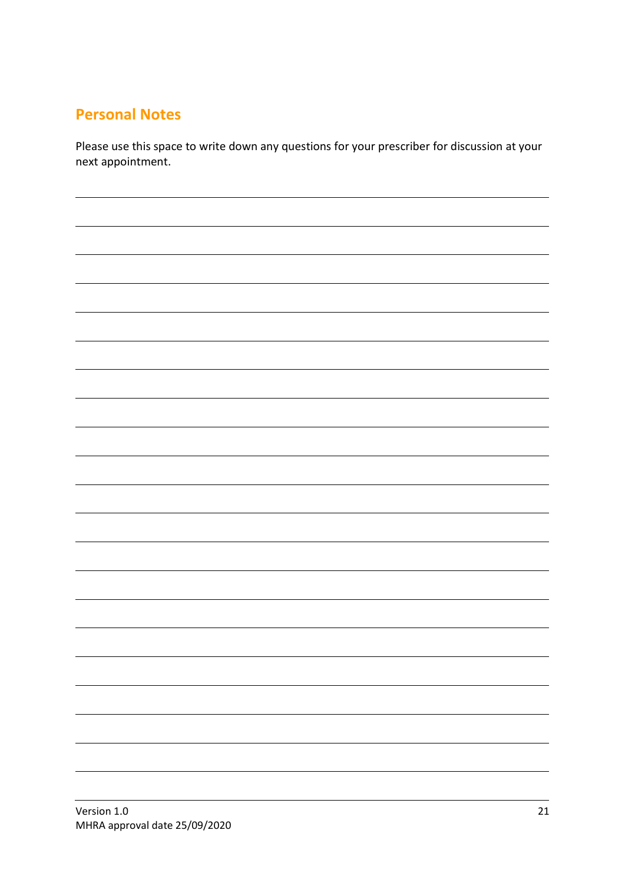### **Personal Notes**

Please use this space to write down any questions for your prescriber for discussion at your next appointment.

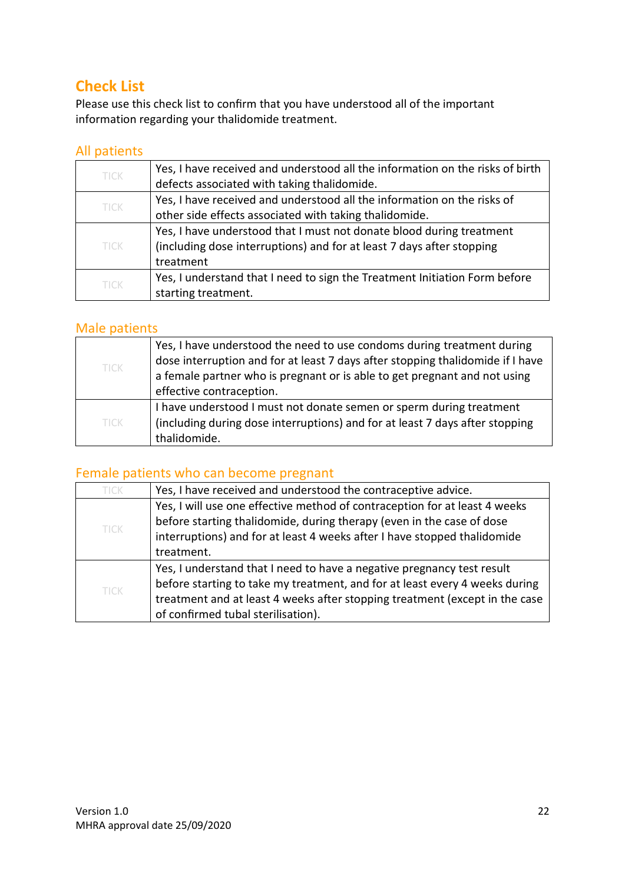# **Check List**

Please use this check list to confirm that you have understood all of the important information regarding your thalidomide treatment.

#### All patients

| <b>TICK</b> | Yes, I have received and understood all the information on the risks of birth |
|-------------|-------------------------------------------------------------------------------|
|             | defects associated with taking thalidomide.                                   |
| <b>TICK</b> | Yes, I have received and understood all the information on the risks of       |
|             | other side effects associated with taking thalidomide.                        |
| <b>TICK</b> | Yes, I have understood that I must not donate blood during treatment          |
|             | (including dose interruptions) and for at least 7 days after stopping         |
|             | treatment                                                                     |
| <b>TICK</b> | Yes, I understand that I need to sign the Treatment Initiation Form before    |
|             | starting treatment.                                                           |

#### Male patients

| TICK        | Yes, I have understood the need to use condoms during treatment during         |
|-------------|--------------------------------------------------------------------------------|
|             | dose interruption and for at least 7 days after stopping thalidomide if I have |
|             | a female partner who is pregnant or is able to get pregnant and not using      |
|             | effective contraception.                                                       |
| <b>TICK</b> | I have understood I must not donate semen or sperm during treatment            |
|             | (including during dose interruptions) and for at least 7 days after stopping   |
|             | thalidomide.                                                                   |

#### Female patients who can become pregnant

| <b>TICK</b> | Yes, I have received and understood the contraceptive advice.               |
|-------------|-----------------------------------------------------------------------------|
| <b>TICK</b> | Yes, I will use one effective method of contraception for at least 4 weeks  |
|             | before starting thalidomide, during therapy (even in the case of dose       |
|             | interruptions) and for at least 4 weeks after I have stopped thalidomide    |
|             | treatment.                                                                  |
| <b>TICK</b> | Yes, I understand that I need to have a negative pregnancy test result      |
|             | before starting to take my treatment, and for at least every 4 weeks during |
|             | treatment and at least 4 weeks after stopping treatment (except in the case |
|             | of confirmed tubal sterilisation).                                          |